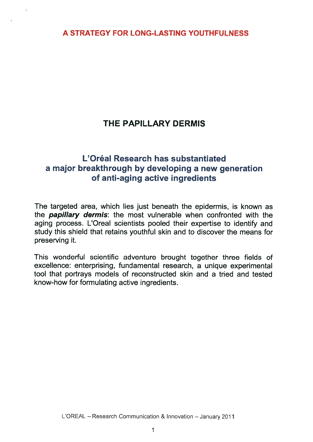# THE PAPILLARY DERMIS

# L'Oreal Research has substantiated a major breakthrough by developing a new generation of anti-aging active ingredients

The targeted area, which lies just beneath the epidermis, is known as the **papillary dermis**: the most vulnerable when confronted with the aging process. L'Oreal scientists pooled their expertise to identify and study this shield that retains youthful skin and to discover the means for preserving it.

This wonderful scientific adventure brought together three fields of excellence: enterprising, fundamental research, a unique experimental tool that portrays models of reconstructed skin and a tried and tested know-how for formulating active ingredients.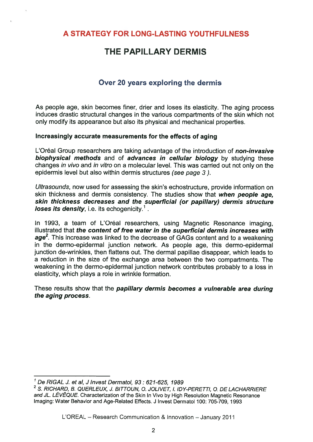# THE PAPILLARY DERMIS

## Over 20 years exploring the dermis

As people age, skin becomes finer, drier and loses its elasticity. The aging process induces drastic structural changes in the various compartments of the skin which not only modify its appearance but also its physical and mechanical properties.

### Increasingly accurate measurements for the effects of aging

L'Oréal Group researchers are taking advantage of the introduction of non-invasive biophysical methods and of advances in cellular biology by studying these changes in vivo and in vitro on a molecular level. This was carried out not only on the epidermis level but also within dermis structures (see page 3).

Ultrasounds, now used for assessing the skin's echostructure, provide information on skin thickness and dermis consistency. The studies show that when people age, skin thickness decreases and the superficial (or papillary) dermis structure loses its density, i.e. its echogenicity.<sup>1</sup>. Lose Siven Presearchers are taking a<br>
biophysical methods and of advan<br>
changes in vivo and in vitro on a molec<br>
epidermis level but also within dermis s<br>
Ultrasounds, now used for assessing th<br>
skin thickness and dermis c

In 1993, a team of L'Oréal researchers, using Magnetic Resonance imaging, illustrated that *the content of free water in the superficial dermis increases with* skin thickness decreases and the superficial (or papillary) dermis structure<br>loses its density, i.e. its echogenicity.<sup>1</sup>.<br>In 1993, a team of L'Oréal researchers, using Magnetic Resonance imaging,<br>illustrated that the cont in the dermo-epidermal junction network. As people age, this dermo-epidermal junction de-wrinkles, then flattens out. The dermal papillae disappear, which leads to a reduction in the size of the exchange area between the two compartments. The weakening in the dermo-epidermal junction network contributes probably to a loss in elasticity, which plays a role in wrinkle formation.

These results show that the papillary dermis becomes a vulnerable area during the aging process.

 $1$  De RIGAL J. et al, J Invest Dermatol, 93 : 621-625, 1989

<sup>2</sup> S. RICHARD, B. QUERLEUX, J. BITTOUN, 0. JOLIVET, I. IDY-PERETTI, 0. DE LACHARRIERE and JL. LÉVÊQUE. Characterization of the Skin In Vivo by High Resolution Magnetic Resonance Imaging: Water Behavior and Age-Related Effects. J Invest Dermatol 100: 705-709, 1993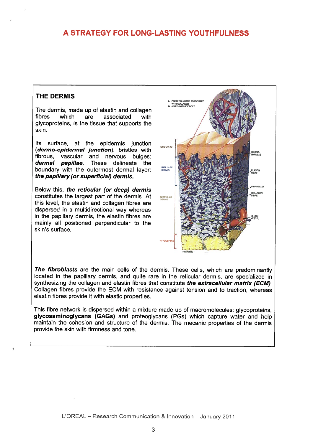### THE DERMIS

The dermis, made up of elastin and collagen<br>fibres which are associated with fibres which are associated with glycoproteins, is the tissue that supports the skin.

Its surface, at the epidermis junction (dermo-epidermal junction), bristles with fibrous, vascular and nervous bulges: *dermal papillae*. These delineate the boundary with the outermost dermal layer: the papillary (or superficial) dermis.

Below this, the reticular (or deep) dermis constitutes the largest part of the dermis. At  $\blacksquare$ this level, the elastin and collagen fibres are dispersed in a multidirectional way whereas in the papillary dermis, the elastin fibres are mainly all positioned perpendicular to the skin's surface.



The fibroblasts are the main cells of the dermis. These cells, which are predominantly located in the papillary dermis, and quite rare in the reticular dermis, are specialized in synthesizing the collagen and elastin fibres that constitute the extracellular matrix (ECM). Collagen fibres provide the ECM with resistance against tension and to traction, whereas elastin fibres provide it with elastic properties.

This fibre network is dispersed within a mixture made up of macromolecules: glycoproteins, glycosaminoglycans (GAGs) and proteoglycans (PGs) which capture water and help maintain the cohesion and structure of the dermis. The mecanic properties of the dermis provide the skin with firmness and tone.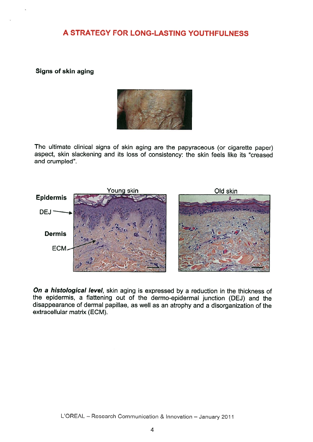### Signs of skin aging



The ultimate clinical signs of skin aging are the papyraceous (or cigarette paper) aspect, skin slackening and its loss of consistency: the skin feels like its "creased and crumpled".



On a histological level, skin aging is expressed by a reduction in the thickness of the epidermis, a flattening out of the dermo-epidermal junction (DEJ) and the disappearance of dermal papillae, as well as an atrophy and a disorganization of the extracellular matrix (ECM).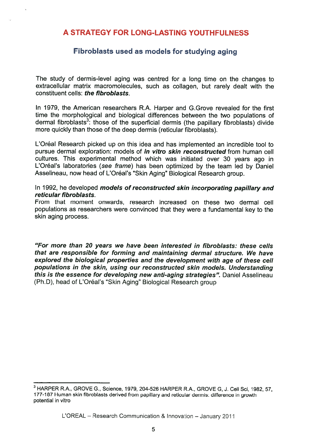### Fibroblasts used as models for studying aging

The study of dermis-level aging was centred for a long time on the changes to extracellular matrix macromolecules, such as collagen, but rarely dealt with the constituent cells: the fibroblasts.

In 1979, the American researchers R.A. Harper and G.Grove revealed for the first time the morphological and biological differences between the two populations of dermal fibroblasts<sup>3</sup>: those of the superficial dermis (the papillary fibroblasts) divide The study of dermis-level aging was centred for a long time on the changes to extracellular matrix macromolecules, such as collagen, but rarely dealt with the constituent cells: *the fibroblasts*.<br>In 1979, the American res more quickly than those of the deep dermis (reticular fibroblasts).

L'Oréal Research picked up on this idea and has implemented an incredible tool to pursue dermal exploration: models of *in vitro skin reconstructed* from human cell cultures. This experimental method which was initiated over 30 years ago in L'Oréal's laboratories (see frame) has been optimized by the team led by Daniel Asselineau, now head of L'Oréal's "Skin Aging" Biological Research group.

### In 1992, he developed models of reconstructed skin incorporating papillary and reticular fibroblasts.

From that moment onwards, research increased on these two dermal cell populations as researchers were convinced that they were a fundamental key to the skin aging process.

"For more than 20 years we have been interested in fibroblasts: these cells that are responsible for forming and maintaining dermal structure. We have explored the biological properties and the development with age of these cell populations in the skin, using our reconstructed skin models. Understanding this is the essence for developing new anti-aging strategies". Daniel Asselineau (Ph.D), head of L'Oréal's "Skin Aging" Biological Research group

<sup>&</sup>lt;sup>3</sup> HARPER R.A., GROVE G., Science, 1979, 204-526 HARPER R.A., GROVE G, J. Cell Sci, 1982, 57, 177-187 Human skin fibroblasts derived from papillary and reticular dermis: difference in growth potential in vitro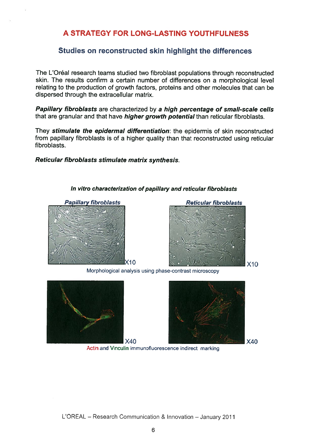### Studies on reconstructed skin highlight the differences

The L'Oréal research teams studied two fibroblast populations through reconstructed skin. The results confirm a certain number of differences on a morphological level relating to the production of growth factors, proteins and other molecules that can be dispersed through the extracellular matrix.

Papillary fibroblasts are characterized by a high percentage of small-scale cells that are granular and that have *higher growth potential* than reticular fibroblasts.

They stimulate the epidermal differentiation: the epidermis of skin reconstructed from papillary fibroblasts is of a higher quality than that reconstructed using reticular fibroblasts.

#### Reticular fibroblasts stimulate matrix synthesis.



#### In vitro characterization of papillary and reticular fibroblasts



Morphological analysis using phase-contrast microscopy





 $X40$ 

Actin and Vinculin immunofluorescence indirect marking

L'OREAL — Research Communication & Innovation — January 2011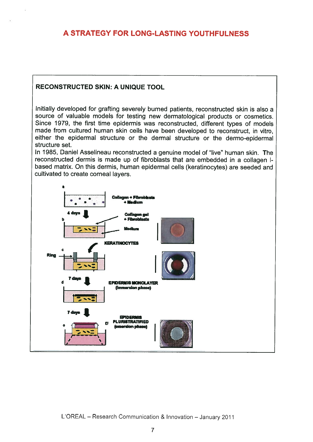### RECONSTRUCTED SKIN: A UNIQUE TOOL

Initially developed for grafting severely burned patients, reconstructed skin is also a source of valuable models for testing new dermatological products or cosmetics. Since 1979, the first time epidermis was reconstructed, different types of models made from cultured human skin cells have been developed to reconstruct, in vitro, either the epidermal structure or the dermal structure or the dermo-epidermal structure set.

In 1985, Daniel Asselineau reconstructed a genuine model of "live" human skin. The reconstructed dermis is made up of fibroblasts that are embedded in a collagen Ibased matrix. On this dermis, human epidermal cells (keratinocytes) are seeded and cultivated to create corneal layers.

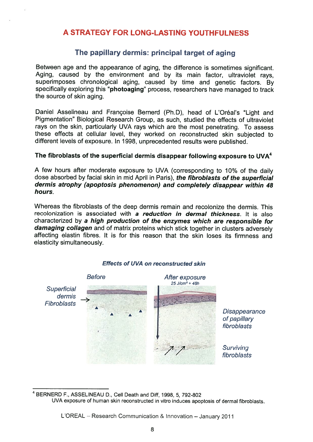## The papillary dermis: principal target of aging

Between age and the appearance of aging, the difference is sometimes significant. Aging, caused by the environment and by its main factor, ultraviolet rays, superimposes chronological aging, caused by time and genetic factors. By specifically exploring this "**photoaging**" process, researchers have managed to track the source of skin aging.

Daniel Asselineau and Françoise Bernerd (Ph.D), head of L'Oréal's "Light and Pigmentation" Biological Research Group, as such, studied the effects of ultraviolet rays on the skin, particularly UVA rays which are the most penetrating. To assess these effects at cellular level, they worked on reconstructed skin subjected to different levels of exposure. In 1998, unprecedented results were published.

### The fibroblasts of the superficial dermis disappear following exposure to UVA<sup>4</sup>

<sup>A</sup> few hours after moderate exposure to UVA (corresponding to 10% of the daily dose absorbed by facial skin in mid April in Paris), the fibroblasts of the superficial dermis atrophy (apoptosis phenomenon) and completely disappear within 48 hours.

Whereas the fibroblasts of the deep dermis remain and recolonize the dermis. This recolonization is associated with a reduction in dermal thickness. It is also characterized by a high production of the enzymes which are responsible for damaging collagen and of matrix proteins which stick together in clusters adversely affecting elastin fibres. It is for this reason that the skin loses its firmness and elasticity simultaneously.



#### Effects of UVA on reconstructed skin

<sup>4</sup> BERNERD F., ASSELINEAU D., Cell Death and Diff, 1998, 5, 792-802 UVA exposure of human skin reconstructed in vitro induces apoptosis of dermal fibroblasts.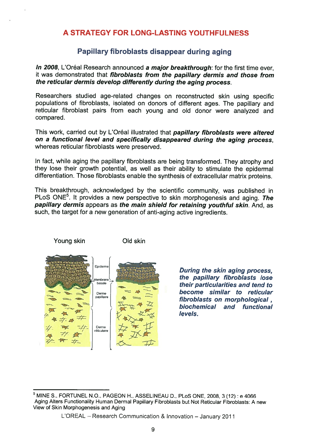### Papillary fibroblasts disappear during aging

In 2008. L'Oréal Research announced a major breakthrough: for the first time ever, it was demonstrated that *fibroblasts from the papillary dermis and those from* the reticular dermis develop differently during the aging process.

Researchers studied age-related changes on reconstructed skin using specific populations of fibroblasts, isolated on donors of different ages. The papillary and reticular fibroblast pairs from each young and old donor were analyzed and compared.

This work, carried out by L'Oréal illustrated that papillary fibroblasts were altered on a functional level and specifically disappeared during the aging process, whereas reticular fibroblasts were preserved.

In fact, while aging the papillary fibroblasts are being transformed. They atrophy and they lose their growth potential, as well as their ability to stimulate the epidermal differentiation. Those fibroblasts enable the synthesis of extracellular matrix proteins.

This breakthrough, acknowledged by the scientific community, was published in PLoS ONE<sup>5</sup>. It provides a new perspective to skin morphogenesis and aging. The papillary dermis appears as the main shield for retaining youthful skin. And, as such, the target for a new generation of anti-aging active ingredients.



During the skin aging process, the papillary fibroblasts lose their particularities and tend to become similar to reticular fibroblasts on morphological. biochemical and functional levels.

 $<sup>5</sup>$  MINE S., FORTUNEL N.O., PAGEON H., ASSELINEAU D., PLoS ONE, 2008, 3 (12): e 4066</sup> Aging Alters Functionality Human Dermal Papillary Fibroblasts but Not Reticular Fibroblasts: A new View of Skin Morphogenesis and Aging

L'OREAL — Research Communication & Innovation — January 2011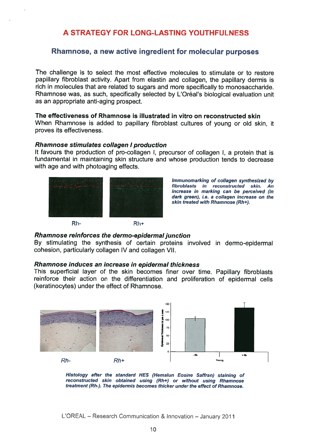### Rhamnose, a new active ingredient for molecular purposes

The challenge is to select the most effective molecules to stimulate or to restore papillary fibroblast activity. Apart from elastin and collagen, the papillary dermis is rich in molecules that are related to sugars and more specifically to monosaccharide. Rhamnose was, as such, specifically selected by L'Oréal's biological evaluation unit as an appropriate anti-aging prospect.

#### The effectiveness of Rhamnose is illustrated in vitro on reconstructed skin

When Rhamnose is added to papillary fibroblast cultures of young or old skin, it proves its effectiveness.

#### Rhamnose stimulates collagen <sup>I</sup> production

It favours the production of pro-collagen I, precursor of collagen I, a protein that is fundamental in maintaining skin structure and whose production tends to decrease with age and with photoaging effects.



Immunomarking of collagen synthesized by fibroblasts in reconstructed skin. An increase in marking can be perceived (in dark green), i.e. a collagen increase on the skin treated with Rhamnose (Rh+).

#### Rhamnose reinforces the dermo-epidermal junction

By stimulating the synthesis of certain proteins involved in dermo-epidermal cohesion, particularly collagen IV and collagen VII.

#### Rhamnose induces an increase in epidermal thickness

This superficial layer of the skin becomes finer over time. Papillary fibroblasts reinforce their action on the differentiation and proliferation of epidermal cells (keratinocytes) under the effect of Rhamnose.





L'OREAL — Research Communication & Innovation — January 2011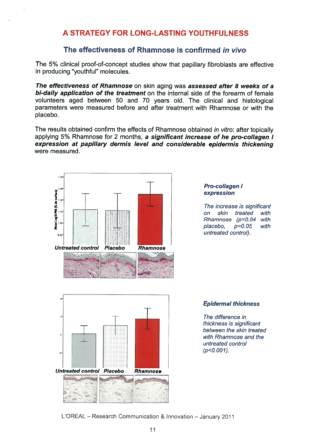### The effectiveness of Rhamnose is confirmed in vivo

The 5% clinical proof-of-concept studies show that papillary fibroblasts are effective in producing "youthful" molecules.

The effectiveness of Rhamnose on skin aging was assessed after 8 weeks of a bi-daily application of the treatment on the internal side of the forearm of female volunteers aged between 50 and 70 years old. The clinical and histological parameters were measured before and after treatment with Rhamnose or with the placebo.

The results obtained confirm the effects of Rhamnose obtained in vitro: after topically applying 5% Rhamnose for 2 months, a significant increase of he pro-collagen I expression at papillary dermis level and considerable epidermis thickening were measured.



#### Pro-collagen I expression

The increase is significant on skin treated with Rhamnose (p=0. 04 with placebo, p=0.05 with untreated control).



#### Epidermal thickness

The difference in thickness is significant between the skin treated with Rhamnose and the untreated control  $(p<0.001)$ .

L'OREAL — Research Communication & Innovation — January 2011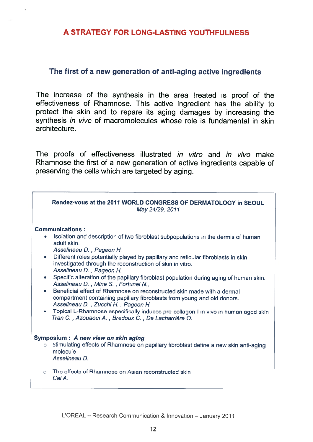### The first of a new generation of anti-aging active ingredients

The increase of the synthesis in the area treated is proof of the effectiveness of Rhamnose. This active ingredient has the ability to protect the skin and to repare its aging damages by increasing the synthesis *in vivo* of macromolecules whose role is fundamental in skin architecture.

The proofs of effectiveness illustrated in vitro and in vivo make Rhamnose the first of a new generation of active ingredients capable of preserving the cells which are targeted by aging.

|                                                       | Rendez-vous at the 2011 WORLD CONGRESS OF DERMATOLOGY in SEOUL<br>May 24/29, 2011                                                                                                                                                                                                                                                                                                                                                                                                                                                                                                                                                                                                                                                                                                                               |
|-------------------------------------------------------|-----------------------------------------------------------------------------------------------------------------------------------------------------------------------------------------------------------------------------------------------------------------------------------------------------------------------------------------------------------------------------------------------------------------------------------------------------------------------------------------------------------------------------------------------------------------------------------------------------------------------------------------------------------------------------------------------------------------------------------------------------------------------------------------------------------------|
| ۰<br>$\bullet$<br>$\bullet$<br>$\bullet$<br>$\bullet$ | <b>Communications:</b><br>Isolation and description of two fibroblast subpopulations in the dermis of human<br>adult skin.<br>Asselineau D., Pageon H.<br>Different roles potentially played by papillary and reticular fibroblasts in skin<br>investigated through the reconstruction of skin in vitro.<br>Asselineau D., Pageon H.<br>Specific alteration of the papillary fibroblast population during aging of human skin.<br>Asselineau D., Mine S., Fortunel N.,<br>Beneficial effect of Rhamnose on reconstructed skin made with a dermal<br>compartment containing papillary fibroblasts from young and old donors.<br>Asselineau D., Zucchi H., Pageon H.<br>Topical L-Rhamnose especifically induces pro-collagen-I in vivo in human aged skin<br>Tran C., Azouaoui A., Bredoux C., De Lacharrière O. |
| $\circ$                                               | Symposium: A new view on skin aging<br>Stimulating effects of Rhamnose on papillary fibroblast define a new skin anti-aging<br>molecule<br>Asselineau D.                                                                                                                                                                                                                                                                                                                                                                                                                                                                                                                                                                                                                                                        |
| $\circ$                                               | The effects of Rhamnose on Asian reconstructed skin<br>Cai A.                                                                                                                                                                                                                                                                                                                                                                                                                                                                                                                                                                                                                                                                                                                                                   |